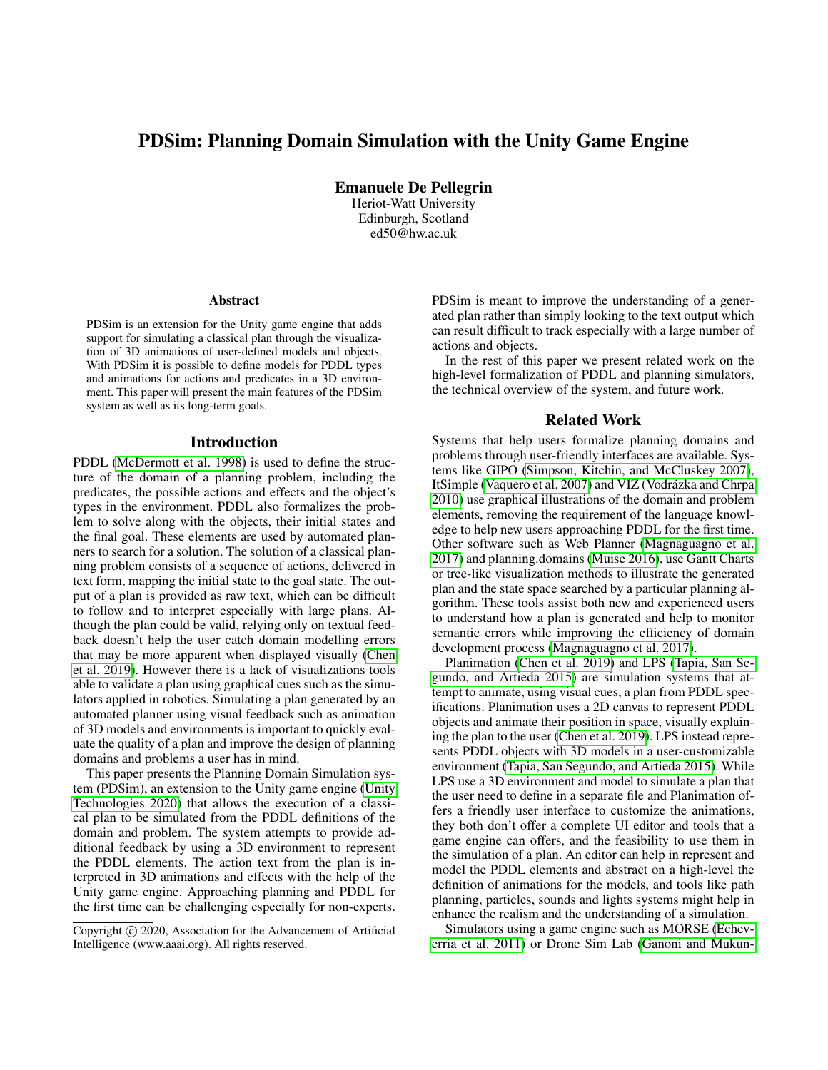# PDSim: Planning Domain Simulation with the Unity Game Engine

Emanuele De Pellegrin

Heriot-Watt University Edinburgh, Scotland ed50@hw.ac.uk

#### Abstract

PDSim is an extension for the Unity game engine that adds support for simulating a classical plan through the visualization of 3D animations of user-defined models and objects. With PDSim it is possible to define models for PDDL types and animations for actions and predicates in a 3D environment. This paper will present the main features of the PDSim system as well as its long-term goals.

### Introduction

PDDL [\(McDermott et al. 1998\)](#page-3-0) is used to define the structure of the domain of a planning problem, including the predicates, the possible actions and effects and the object's types in the environment. PDDL also formalizes the problem to solve along with the objects, their initial states and the final goal. These elements are used by automated planners to search for a solution. The solution of a classical planning problem consists of a sequence of actions, delivered in text form, mapping the initial state to the goal state. The output of a plan is provided as raw text, which can be difficult to follow and to interpret especially with large plans. Although the plan could be valid, relying only on textual feedback doesn't help the user catch domain modelling errors that may be more apparent when displayed visually [\(Chen](#page-3-1) [et al. 2019\)](#page-3-1). However there is a lack of visualizations tools able to validate a plan using graphical cues such as the simulators applied in robotics. Simulating a plan generated by an automated planner using visual feedback such as animation of 3D models and environments is important to quickly evaluate the quality of a plan and improve the design of planning domains and problems a user has in mind.

This paper presents the Planning Domain Simulation system (PDSim), an extension to the Unity game engine [\(Unity](#page-3-2) [Technologies 2020\)](#page-3-2) that allows the execution of a classical plan to be simulated from the PDDL definitions of the domain and problem. The system attempts to provide additional feedback by using a 3D environment to represent the PDDL elements. The action text from the plan is interpreted in 3D animations and effects with the help of the Unity game engine. Approaching planning and PDDL for the first time can be challenging especially for non-experts.

PDSim is meant to improve the understanding of a generated plan rather than simply looking to the text output which can result difficult to track especially with a large number of actions and objects.

In the rest of this paper we present related work on the high-level formalization of PDDL and planning simulators, the technical overview of the system, and future work.

#### Related Work

Systems that help users formalize planning domains and problems through user-friendly interfaces are available. Systems like GIPO [\(Simpson, Kitchin, and McCluskey 2007\)](#page-3-3), ItSimple [\(Vaquero et al. 2007\)](#page-3-4) and VIZ (Vodrázka and Chrpa [2010\)](#page-3-5) use graphical illustrations of the domain and problem elements, removing the requirement of the language knowledge to help new users approaching PDDL for the first time. Other software such as Web Planner [\(Magnaguagno et al.](#page-3-6) [2017\)](#page-3-6) and planning.domains [\(Muise 2016\)](#page-3-7), use Gantt Charts or tree-like visualization methods to illustrate the generated plan and the state space searched by a particular planning algorithm. These tools assist both new and experienced users to understand how a plan is generated and help to monitor semantic errors while improving the efficiency of domain development process [\(Magnaguagno et al. 2017\)](#page-3-6).

Planimation [\(Chen et al. 2019\)](#page-3-1) and LPS [\(Tapia, San Se](#page-3-8)[gundo, and Artieda 2015\)](#page-3-8) are simulation systems that attempt to animate, using visual cues, a plan from PDDL specifications. Planimation uses a 2D canvas to represent PDDL objects and animate their position in space, visually explaining the plan to the user [\(Chen et al. 2019\)](#page-3-1). LPS instead represents PDDL objects with 3D models in a user-customizable environment [\(Tapia, San Segundo, and Artieda 2015\)](#page-3-8). While LPS use a 3D environment and model to simulate a plan that the user need to define in a separate file and Planimation offers a friendly user interface to customize the animations, they both don't offer a complete UI editor and tools that a game engine can offers, and the feasibility to use them in the simulation of a plan. An editor can help in represent and model the PDDL elements and abstract on a high-level the definition of animations for the models, and tools like path planning, particles, sounds and lights systems might help in enhance the realism and the understanding of a simulation.

Simulators using a game engine such as MORSE [\(Echev](#page-3-9)[erria et al. 2011\)](#page-3-9) or Drone Sim Lab [\(Ganoni and Mukun-](#page-3-10)

Copyright (c) 2020, Association for the Advancement of Artificial Intelligence (www.aaai.org). All rights reserved.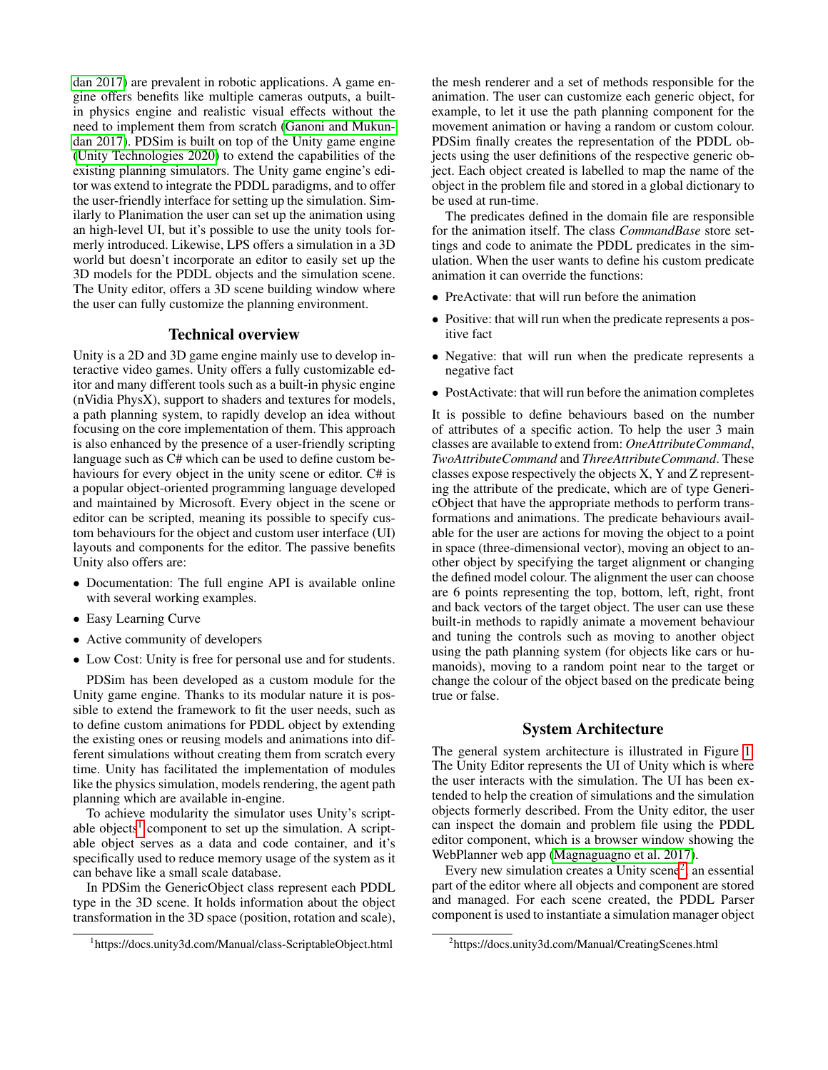[dan 2017\)](#page-3-10) are prevalent in robotic applications. A game engine offers benefits like multiple cameras outputs, a builtin physics engine and realistic visual effects without the need to implement them from scratch [\(Ganoni and Mukun](#page-3-10)[dan 2017\)](#page-3-10). PDSim is built on top of the Unity game engine [\(Unity Technologies 2020\)](#page-3-2) to extend the capabilities of the existing planning simulators. The Unity game engine's editor was extend to integrate the PDDL paradigms, and to offer the user-friendly interface for setting up the simulation. Similarly to Planimation the user can set up the animation using an high-level UI, but it's possible to use the unity tools formerly introduced. Likewise, LPS offers a simulation in a 3D world but doesn't incorporate an editor to easily set up the 3D models for the PDDL objects and the simulation scene. The Unity editor, offers a 3D scene building window where the user can fully customize the planning environment.

## Technical overview

Unity is a 2D and 3D game engine mainly use to develop interactive video games. Unity offers a fully customizable editor and many different tools such as a built-in physic engine (nVidia PhysX), support to shaders and textures for models, a path planning system, to rapidly develop an idea without focusing on the core implementation of them. This approach is also enhanced by the presence of a user-friendly scripting language such as C# which can be used to define custom behaviours for every object in the unity scene or editor. C# is a popular object-oriented programming language developed and maintained by Microsoft. Every object in the scene or editor can be scripted, meaning its possible to specify custom behaviours for the object and custom user interface (UI) layouts and components for the editor. The passive benefits Unity also offers are:

- Documentation: The full engine API is available online with several working examples.
- Easy Learning Curve
- Active community of developers
- Low Cost: Unity is free for personal use and for students.

PDSim has been developed as a custom module for the Unity game engine. Thanks to its modular nature it is possible to extend the framework to fit the user needs, such as to define custom animations for PDDL object by extending the existing ones or reusing models and animations into different simulations without creating them from scratch every time. Unity has facilitated the implementation of modules like the physics simulation, models rendering, the agent path planning which are available in-engine.

To achieve modularity the simulator uses Unity's script-able objects<sup>[1](#page-1-0)</sup> component to set up the simulation. A scriptable object serves as a data and code container, and it's specifically used to reduce memory usage of the system as it can behave like a small scale database.

In PDSim the GenericObject class represent each PDDL type in the 3D scene. It holds information about the object transformation in the 3D space (position, rotation and scale),

the mesh renderer and a set of methods responsible for the animation. The user can customize each generic object, for example, to let it use the path planning component for the movement animation or having a random or custom colour. PDSim finally creates the representation of the PDDL objects using the user definitions of the respective generic object. Each object created is labelled to map the name of the object in the problem file and stored in a global dictionary to be used at run-time.

The predicates defined in the domain file are responsible for the animation itself. The class *CommandBase* store settings and code to animate the PDDL predicates in the simulation. When the user wants to define his custom predicate animation it can override the functions:

- PreActivate: that will run before the animation
- Positive: that will run when the predicate represents a positive fact
- Negative: that will run when the predicate represents a negative fact
- PostActivate: that will run before the animation completes

It is possible to define behaviours based on the number of attributes of a specific action. To help the user 3 main classes are available to extend from: *OneAttributeCommand*, *TwoAttributeCommand* and *ThreeAttributeCommand*. These classes expose respectively the objects X, Y and Z representing the attribute of the predicate, which are of type GenericObject that have the appropriate methods to perform transformations and animations. The predicate behaviours available for the user are actions for moving the object to a point in space (three-dimensional vector), moving an object to another object by specifying the target alignment or changing the defined model colour. The alignment the user can choose are 6 points representing the top, bottom, left, right, front and back vectors of the target object. The user can use these built-in methods to rapidly animate a movement behaviour and tuning the controls such as moving to another object using the path planning system (for objects like cars or humanoids), moving to a random point near to the target or change the colour of the object based on the predicate being true or false.

### System Architecture

The general system architecture is illustrated in Figure [1.](#page-2-0) The Unity Editor represents the UI of Unity which is where the user interacts with the simulation. The UI has been extended to help the creation of simulations and the simulation objects formerly described. From the Unity editor, the user can inspect the domain and problem file using the PDDL editor component, which is a browser window showing the WebPlanner web app [\(Magnaguagno et al. 2017\)](#page-3-6).

Every new simulation creates a Unity scene<sup>[2](#page-1-1)</sup>, an essential part of the editor where all objects and component are stored and managed. For each scene created, the PDDL Parser component is used to instantiate a simulation manager object

<span id="page-1-0"></span><sup>1</sup> https://docs.unity3d.com/Manual/class-ScriptableObject.html

<span id="page-1-1"></span><sup>2</sup> https://docs.unity3d.com/Manual/CreatingScenes.html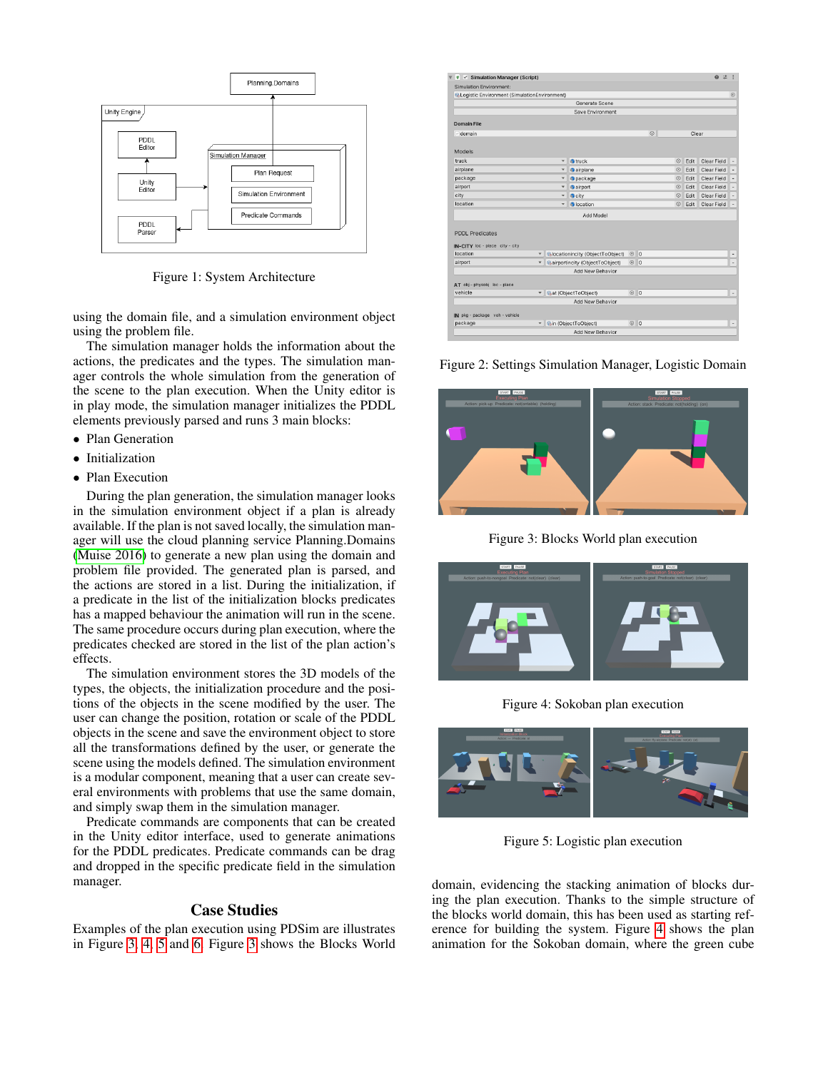

<span id="page-2-0"></span>Figure 1: System Architecture

using the domain file, and a simulation environment object using the problem file.

The simulation manager holds the information about the actions, the predicates and the types. The simulation manager controls the whole simulation from the generation of the scene to the plan execution. When the Unity editor is in play mode, the simulation manager initializes the PDDL elements previously parsed and runs 3 main blocks:

- Plan Generation
- Initialization
- Plan Execution

During the plan generation, the simulation manager looks in the simulation environment object if a plan is already available. If the plan is not saved locally, the simulation manager will use the cloud planning service Planning.Domains [\(Muise 2016\)](#page-3-7) to generate a new plan using the domain and problem file provided. The generated plan is parsed, and the actions are stored in a list. During the initialization, if a predicate in the list of the initialization blocks predicates has a mapped behaviour the animation will run in the scene. The same procedure occurs during plan execution, where the predicates checked are stored in the list of the plan action's effects.

The simulation environment stores the 3D models of the types, the objects, the initialization procedure and the positions of the objects in the scene modified by the user. The user can change the position, rotation or scale of the PDDL objects in the scene and save the environment object to store all the transformations defined by the user, or generate the scene using the models defined. The simulation environment is a modular component, meaning that a user can create several environments with problems that use the same domain, and simply swap them in the simulation manager.

Predicate commands are components that can be created in the Unity editor interface, used to generate animations for the PDDL predicates. Predicate commands can be drag and dropped in the specific predicate field in the simulation manager.

### Case Studies

Examples of the plan execution using PDSim are illustrates in Figure [3,](#page-2-1) [4,](#page-2-2) [5](#page-2-3) and [6.](#page-3-11) Figure [3](#page-2-1) shows the Blocks World

| Simulation Environment:                                                                                                             |                          |                          |                                        |           |         |       |             |         |
|-------------------------------------------------------------------------------------------------------------------------------------|--------------------------|--------------------------|----------------------------------------|-----------|---------|-------|-------------|---------|
| <b>&amp;Logistic Environment (SimulationEnvironment)</b>                                                                            |                          |                          |                                        |           |         |       |             | $\odot$ |
|                                                                                                                                     |                          |                          | Generate Scene                         |           |         |       |             |         |
|                                                                                                                                     |                          |                          | Save Environment                       |           |         |       |             |         |
| <b>Domain File</b>                                                                                                                  |                          |                          |                                        |           |         |       |             |         |
| - domain                                                                                                                            |                          |                          |                                        |           | $\odot$ | Clear |             |         |
| Models<br>truck                                                                                                                     |                          | $\overline{\phantom{a}}$ | <b><i><u>atruck</u></i></b>            |           | $\odot$ | Edit  | Clear Field |         |
| airplane                                                                                                                            |                          | $\overline{\phantom{a}}$ | airplane                               |           | $\odot$ | Edit  | Clear Field |         |
| package                                                                                                                             |                          | $\overline{\phantom{a}}$ | <b>p</b> package                       |           | $\odot$ | Edit  | Clear Field |         |
| airport                                                                                                                             |                          | $\overline{\phantom{a}}$ | <b>airport</b>                         |           | $\odot$ | Edit  | Clear Field |         |
| city                                                                                                                                |                          | $\overline{\phantom{0}}$ | <b><i><u>n</u></i></b> city            |           | $\odot$ | Edit  | Clear Field |         |
| location                                                                                                                            |                          | $\overline{\phantom{a}}$ | <b>a</b> location                      |           | $\odot$ | Edit  | Clear Field |         |
|                                                                                                                                     |                          |                          | Add Model                              |           |         |       |             |         |
|                                                                                                                                     |                          |                          |                                        |           |         |       |             |         |
|                                                                                                                                     | $\overline{\phantom{a}}$ |                          | Colocationincity (ObjectToObject)      | $\odot$   | lo.     |       |             |         |
|                                                                                                                                     | $\overline{\phantom{a}}$ |                          | <b>Gairportincity (ObjectToObject)</b> | $\odot$ 0 |         |       |             |         |
|                                                                                                                                     |                          |                          | Add New Behavior                       |           |         |       |             |         |
| <b>PDDI Predicates</b>                                                                                                              |                          |                          |                                        |           |         |       |             |         |
|                                                                                                                                     | $\overline{\phantom{a}}$ |                          | Gat (ObjectToObject)                   | $\odot$ 0 |         |       |             |         |
|                                                                                                                                     |                          |                          | Add New Behavior                       |           |         |       |             |         |
| IN-CITY loc - place city - city<br>location<br>airport<br>AT obj - physobj loc - place<br>vehicle<br>IN pkg - package veh - vehicle |                          |                          |                                        |           |         |       |             |         |

<span id="page-2-4"></span>Figure 2: Settings Simulation Manager, Logistic Domain



Figure 3: Blocks World plan execution

<span id="page-2-1"></span>

Figure 4: Sokoban plan execution

<span id="page-2-2"></span>

Figure 5: Logistic plan execution

<span id="page-2-3"></span>domain, evidencing the stacking animation of blocks during the plan execution. Thanks to the simple structure of the blocks world domain, this has been used as starting reference for building the system. Figure [4](#page-2-2) shows the plan animation for the Sokoban domain, where the green cube